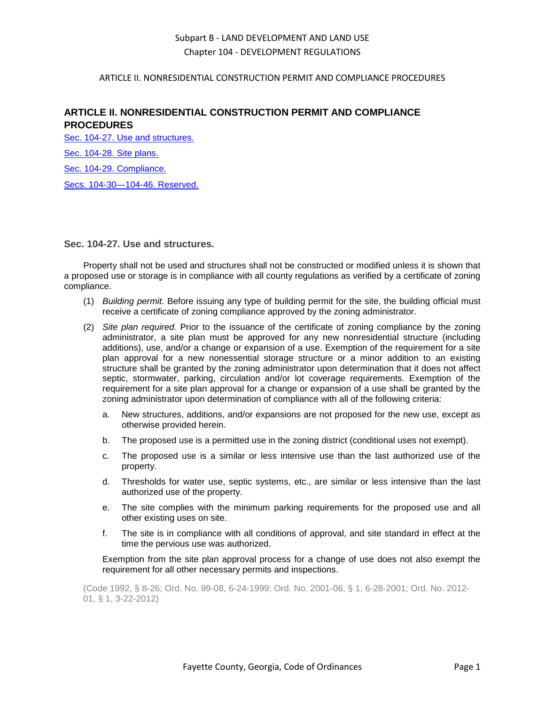### ARTICLE II. NONRESIDENTIAL CONSTRUCTION PERMIT AND COMPLIANCE PROCEDURES

# **ARTICLE II. NONRESIDENTIAL CONSTRUCTION PERMIT AND COMPLIANCE PROCEDURES**

[Sec. 104-27. Use and structures.](#page-0-0) [Sec. 104-28. Site plans.](#page-1-0)

[Sec. 104-29. Compliance.](#page-3-0)

[Secs. 104-30—104-46. Reserved.](#page-3-1)

<span id="page-0-0"></span>**Sec. 104-27. Use and structures.**

Property shall not be used and structures shall not be constructed or modified unless it is shown that a proposed use or storage is in compliance with all county regulations as verified by a certificate of zoning compliance.

- (1) *Building permit.* Before issuing any type of building permit for the site, the building official must receive a certificate of zoning compliance approved by the zoning administrator.
- (2) *Site plan required.* Prior to the issuance of the certificate of zoning compliance by the zoning administrator, a site plan must be approved for any new nonresidential structure (including additions), use, and/or a change or expansion of a use. Exemption of the requirement for a site plan approval for a new nonessential storage structure or a minor addition to an existing structure shall be granted by the zoning administrator upon determination that it does not affect septic, stormwater, parking, circulation and/or lot coverage requirements. Exemption of the requirement for a site plan approval for a change or expansion of a use shall be granted by the zoning administrator upon determination of compliance with all of the following criteria:
	- a. New structures, additions, and/or expansions are not proposed for the new use, except as otherwise provided herein.
	- b. The proposed use is a permitted use in the zoning district (conditional uses not exempt).
	- c. The proposed use is a similar or less intensive use than the last authorized use of the property.
	- d. Thresholds for water use, septic systems, etc., are similar or less intensive than the last authorized use of the property.
	- e. The site complies with the minimum parking requirements for the proposed use and all other existing uses on site.
	- f. The site is in compliance with all conditions of approval, and site standard in effect at the time the pervious use was authorized.

Exemption from the site plan approval process for a change of use does not also exempt the requirement for all other necessary permits and inspections.

(Code 1992, § 8-26; Ord. No. 99-08, 6-24-1999; Ord. No. 2001-06, § 1, 6-28-2001; Ord. No. 2012- 01, § 1, 3-22-2012)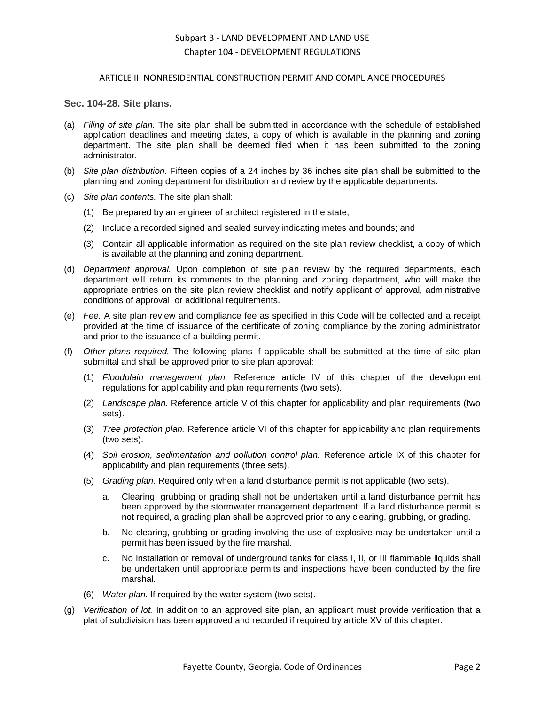#### ARTICLE II. NONRESIDENTIAL CONSTRUCTION PERMIT AND COMPLIANCE PROCEDURES

### <span id="page-1-0"></span>**Sec. 104-28. Site plans.**

- (a) *Filing of site plan.* The site plan shall be submitted in accordance with the schedule of established application deadlines and meeting dates, a copy of which is available in the planning and zoning department. The site plan shall be deemed filed when it has been submitted to the zoning administrator.
- (b) *Site plan distribution.* Fifteen copies of a 24 inches by 36 inches site plan shall be submitted to the planning and zoning department for distribution and review by the applicable departments.
- (c) *Site plan contents.* The site plan shall:
	- (1) Be prepared by an engineer of architect registered in the state;
	- (2) Include a recorded signed and sealed survey indicating metes and bounds; and
	- (3) Contain all applicable information as required on the site plan review checklist, a copy of which is available at the planning and zoning department.
- (d) *Department approval.* Upon completion of site plan review by the required departments, each department will return its comments to the planning and zoning department, who will make the appropriate entries on the site plan review checklist and notify applicant of approval, administrative conditions of approval, or additional requirements.
- (e) *Fee.* A site plan review and compliance fee as specified in this Code will be collected and a receipt provided at the time of issuance of the certificate of zoning compliance by the zoning administrator and prior to the issuance of a building permit.
- (f) *Other plans required.* The following plans if applicable shall be submitted at the time of site plan submittal and shall be approved prior to site plan approval:
	- (1) *Floodplain management plan.* Reference article IV of this chapter of the development regulations for applicability and plan requirements (two sets).
	- (2) *Landscape plan.* Reference article V of this chapter for applicability and plan requirements (two sets).
	- (3) *Tree protection plan.* Reference article VI of this chapter for applicability and plan requirements (two sets).
	- (4) *Soil erosion, sedimentation and pollution control plan.* Reference article IX of this chapter for applicability and plan requirements (three sets).
	- (5) *Grading plan.* Required only when a land disturbance permit is not applicable (two sets).
		- a. Clearing, grubbing or grading shall not be undertaken until a land disturbance permit has been approved by the stormwater management department. If a land disturbance permit is not required, a grading plan shall be approved prior to any clearing, grubbing, or grading.
		- b. No clearing, grubbing or grading involving the use of explosive may be undertaken until a permit has been issued by the fire marshal.
		- c. No installation or removal of underground tanks for class I, II, or III flammable liquids shall be undertaken until appropriate permits and inspections have been conducted by the fire marshal.
	- (6) *Water plan.* If required by the water system (two sets).
- (g) *Verification of lot.* In addition to an approved site plan, an applicant must provide verification that a plat of subdivision has been approved and recorded if required by article XV of this chapter.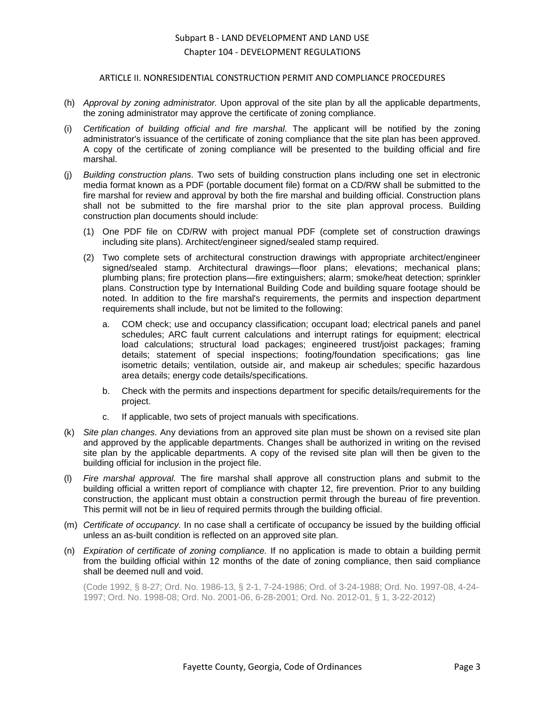#### ARTICLE II. NONRESIDENTIAL CONSTRUCTION PERMIT AND COMPLIANCE PROCEDURES

- (h) *Approval by zoning administrator.* Upon approval of the site plan by all the applicable departments, the zoning administrator may approve the certificate of zoning compliance.
- (i) *Certification of building official and fire marshal.* The applicant will be notified by the zoning administrator's issuance of the certificate of zoning compliance that the site plan has been approved. A copy of the certificate of zoning compliance will be presented to the building official and fire marshal.
- (j) *Building construction plans.* Two sets of building construction plans including one set in electronic media format known as a PDF (portable document file) format on a CD/RW shall be submitted to the fire marshal for review and approval by both the fire marshal and building official. Construction plans shall not be submitted to the fire marshal prior to the site plan approval process. Building construction plan documents should include:
	- (1) One PDF file on CD/RW with project manual PDF (complete set of construction drawings including site plans). Architect/engineer signed/sealed stamp required.
	- (2) Two complete sets of architectural construction drawings with appropriate architect/engineer signed/sealed stamp. Architectural drawings—floor plans; elevations; mechanical plans; plumbing plans; fire protection plans—fire extinguishers; alarm; smoke/heat detection; sprinkler plans. Construction type by International Building Code and building square footage should be noted. In addition to the fire marshal's requirements, the permits and inspection department requirements shall include, but not be limited to the following:
		- a. COM check; use and occupancy classification; occupant load; electrical panels and panel schedules; ARC fault current calculations and interrupt ratings for equipment; electrical load calculations; structural load packages; engineered trust/joist packages; framing details; statement of special inspections; footing/foundation specifications; gas line isometric details; ventilation, outside air, and makeup air schedules; specific hazardous area details; energy code details/specifications.
		- b. Check with the permits and inspections department for specific details/requirements for the project.
		- c. If applicable, two sets of project manuals with specifications.
- (k) *Site plan changes.* Any deviations from an approved site plan must be shown on a revised site plan and approved by the applicable departments. Changes shall be authorized in writing on the revised site plan by the applicable departments. A copy of the revised site plan will then be given to the building official for inclusion in the project file.
- (l) *Fire marshal approval.* The fire marshal shall approve all construction plans and submit to the building official a written report of compliance with chapter 12, fire prevention. Prior to any building construction, the applicant must obtain a construction permit through the bureau of fire prevention. This permit will not be in lieu of required permits through the building official.
- (m) *Certificate of occupancy.* In no case shall a certificate of occupancy be issued by the building official unless an as-built condition is reflected on an approved site plan.
- (n) *Expiration of certificate of zoning compliance.* If no application is made to obtain a building permit from the building official within 12 months of the date of zoning compliance, then said compliance shall be deemed null and void.

(Code 1992, § 8-27; Ord. No. 1986-13, § 2-1, 7-24-1986; Ord. of 3-24-1988; Ord. No. 1997-08, 4-24- 1997; Ord. No. 1998-08; Ord. No. 2001-06, 6-28-2001; Ord. No. 2012-01, § 1, 3-22-2012)